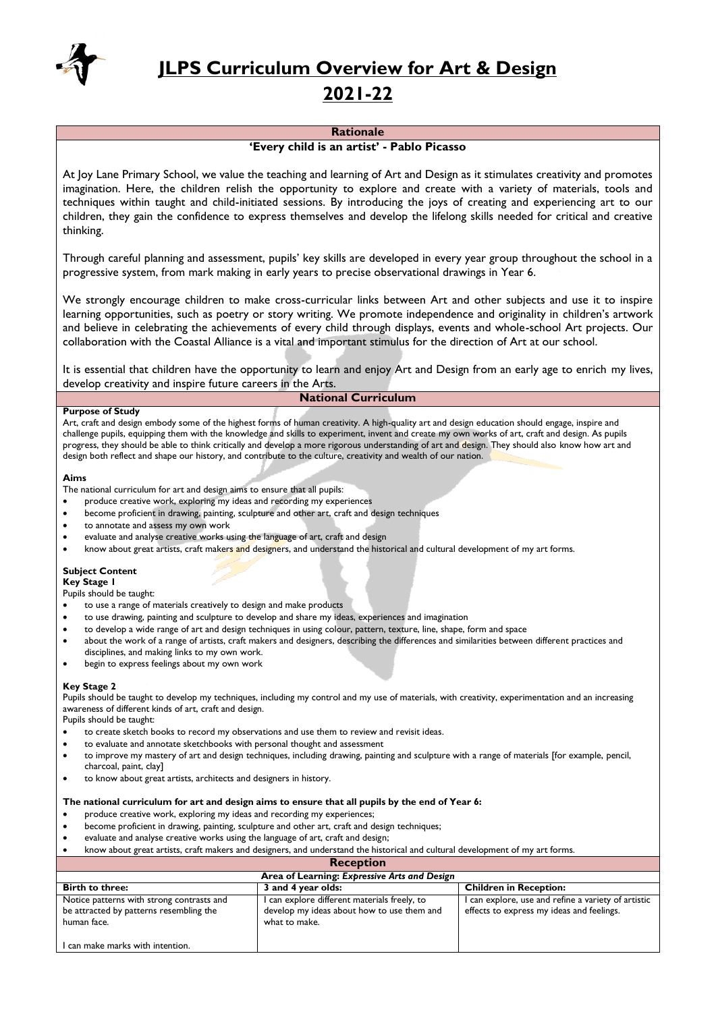

**JLPS Curriculum Overview for Art & Design**

# **2021-22**

# **Rationale**

# **'Every child is an artist' - Pablo Picasso**

At Joy Lane Primary School, we value the teaching and learning of Art and Design as it stimulates creativity and promotes imagination. Here, the children relish the opportunity to explore and create with a variety of materials, tools and techniques within taught and child-initiated sessions. By introducing the joys of creating and experiencing art to our children, they gain the confidence to express themselves and develop the lifelong skills needed for critical and creative thinking.

Through careful planning and assessment, pupils' key skills are developed in every year group throughout the school in a progressive system, from mark making in early years to precise observational drawings in Year 6.

We strongly encourage children to make cross-curricular links between Art and other subjects and use it to inspire learning opportunities, such as poetry or story writing. We promote independence and originality in children's artwork and believe in celebrating the achievements of every child through displays, events and whole-school Art projects. Our collaboration with the Coastal Alliance is a vital and important stimulus for the direction of Art at our school.

It is essential that children have the opportunity to learn and enjoy Art and Design from an early age to enrich my lives, develop creativity and inspire future careers in the Arts.

# **National Curriculum**

# **Purpose of Study**

Art, craft and design embody some of the highest forms of human creativity. A high-quality art and design education should engage, inspire and challenge pupils, equipping them with the knowledge and skills to experiment, invent and create my own works of art, craft and design. As pupils progress, they should be able to think critically and develop a more rigorous understanding of art and design. They should also know how art and design both reflect and shape our history, and contribute to the culture, creativity and wealth of our nation.

# **Aims**

The national curriculum for art and design aims to ensure that all pupils:

- produce creative work, exploring my ideas and recording my experiences
- become proficient in drawing, painting, sculpture and other art, craft and design techniques
- to annotate and assess my own work
- evaluate and analyse creative works using the language of art, craft and design
- know about great artists, craft makers and designers, and understand the historical and cultural development of my art forms.

# **Subject Content**

# **Key Stage 1**

Pupils should be taught:

- to use a range of materials creatively to design and make products
- to use drawing, painting and sculpture to develop and share my ideas, experiences and imagination
- to develop a wide range of art and design techniques in using colour, pattern, texture, line, shape, form and space
- about the work of a range of artists, craft makers and designers, describing the differences and similarities between different practices and
- disciplines, and making links to my own work. begin to express feelings about my own work

**Key Stage 2**  Pupils should be taught to develop my techniques, including my control and my use of materials, with creativity, experimentation and an increasing awareness of different kinds of art, craft and design.

Pupils should be taught:

- to create sketch books to record my observations and use them to review and revisit ideas.
- to evaluate and annotate sketchbooks with personal thought and assessment
- to improve my mastery of art and design techniques, including drawing, painting and sculpture with a range of materials [for example, pencil, charcoal, paint, clay]
- to know about great artists, architects and designers in history.

# **The national curriculum for art and design aims to ensure that all pupils by the end of Year 6:**

- produce creative work, exploring my ideas and recording my experiences;
- become proficient in drawing, painting, sculpture and other art, craft and design techniques;
- evaluate and analyse creative works using the language of art, craft and design;
- know about great artists, craft makers and designers, and understand the historical and cultural development of my art forms.

**Reception Area of Learning:** *Expressive Arts and Design* **Birth to three: 3 and 4 year olds: Children in Reception:** Notice patterns with strong contrasts and be attracted by patterns resembling the human face. I can make marks with intention. I can explore different materials freely, to develop my ideas about how to use them and what to make. I can explore, use and refine a variety of artistic effects to express my ideas and feelings.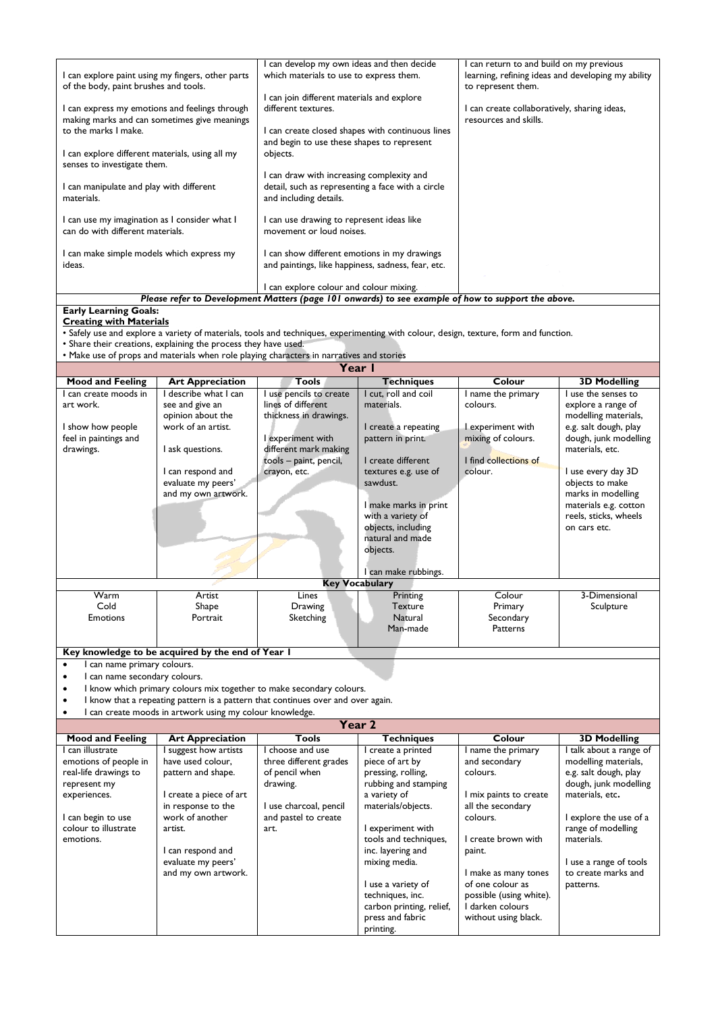|                                                                                                    | can develop my own ideas and then decide           | can return to and build on my previous             |  |  |  |
|----------------------------------------------------------------------------------------------------|----------------------------------------------------|----------------------------------------------------|--|--|--|
| I can explore paint using my fingers, other parts                                                  | which materials to use to express them.            | learning, refining ideas and developing my ability |  |  |  |
| of the body, paint brushes and tools.                                                              |                                                    | to represent them.                                 |  |  |  |
|                                                                                                    | I can join different materials and explore         |                                                    |  |  |  |
| I can express my emotions and feelings through                                                     | different textures.                                | can create collaboratively, sharing ideas,         |  |  |  |
| making marks and can sometimes give meanings                                                       |                                                    | resources and skills.                              |  |  |  |
| to the marks I make.                                                                               | can create closed shapes with continuous lines     |                                                    |  |  |  |
|                                                                                                    | and begin to use these shapes to represent         |                                                    |  |  |  |
| I can explore different materials, using all my                                                    | objects.                                           |                                                    |  |  |  |
| senses to investigate them.                                                                        |                                                    |                                                    |  |  |  |
|                                                                                                    | can draw with increasing complexity and            |                                                    |  |  |  |
| I can manipulate and play with different                                                           | detail, such as representing a face with a circle  |                                                    |  |  |  |
| materials.                                                                                         | and including details.                             |                                                    |  |  |  |
|                                                                                                    |                                                    |                                                    |  |  |  |
| I can use my imagination as I consider what I                                                      | I can use drawing to represent ideas like          |                                                    |  |  |  |
| can do with different materials.                                                                   | movement or loud noises.                           |                                                    |  |  |  |
|                                                                                                    |                                                    |                                                    |  |  |  |
| I can make simple models which express my                                                          | I can show different emotions in my drawings       |                                                    |  |  |  |
| ideas.                                                                                             | and paintings, like happiness, sadness, fear, etc. |                                                    |  |  |  |
|                                                                                                    |                                                    |                                                    |  |  |  |
|                                                                                                    | I can explore colour and colour mixing.            |                                                    |  |  |  |
| Please refer to Development Matters (page 101 onwards) to see example of how to support the above. |                                                    |                                                    |  |  |  |

# **Early Learning Goals:**

**Creating with Materials**

• Safely use and explore a variety of materials, tools and techniques, experimenting with colour, design, texture, form and function.

• Share their creations, explaining the process they have used.

• Make use of props and materials when role playing characters in narratives and stories

| Year I                                     |                                                          |                                                                                  |                          |                         |                         |  |
|--------------------------------------------|----------------------------------------------------------|----------------------------------------------------------------------------------|--------------------------|-------------------------|-------------------------|--|
| <b>Mood and Feeling</b>                    | <b>Art Appreciation</b>                                  | <b>Tools</b>                                                                     | <b>Techniques</b>        | Colour                  | <b>3D Modelling</b>     |  |
| I can create moods in                      | I describe what I can                                    | I use pencils to create                                                          | I cut, roll and coil     | I name the primary      | I use the senses to     |  |
| art work.                                  | see and give an                                          | lines of different                                                               | materials.               | colours.                | explore a range of      |  |
|                                            | opinion about the                                        | thickness in drawings.                                                           |                          |                         | modelling materials,    |  |
| I show how people                          | work of an artist.                                       |                                                                                  | I create a repeating     | I experiment with       | e.g. salt dough, play   |  |
| feel in paintings and                      |                                                          | I experiment with                                                                | pattern in print.        | mixing of colours.      | dough, junk modelling   |  |
| drawings.                                  | I ask questions.                                         | different mark making                                                            |                          |                         | materials, etc.         |  |
|                                            |                                                          | tools - paint, pencil,                                                           | I create different       | I find collections of   |                         |  |
|                                            | I can respond and                                        | crayon, etc.                                                                     | textures e.g. use of     | colour.                 | I use every day 3D      |  |
|                                            | evaluate my peers'                                       |                                                                                  | sawdust.                 |                         | objects to make         |  |
|                                            | and my own artwork.                                      |                                                                                  |                          |                         | marks in modelling      |  |
|                                            |                                                          |                                                                                  | I make marks in print    |                         | materials e.g. cotton   |  |
|                                            |                                                          |                                                                                  | with a variety of        |                         | reels, sticks, wheels   |  |
|                                            |                                                          |                                                                                  | objects, including       |                         | on cars etc.            |  |
|                                            |                                                          |                                                                                  | natural and made         |                         |                         |  |
|                                            |                                                          |                                                                                  | objects.                 |                         |                         |  |
|                                            |                                                          |                                                                                  |                          |                         |                         |  |
|                                            |                                                          |                                                                                  | I can make rubbings.     |                         |                         |  |
|                                            |                                                          |                                                                                  | <b>Key Vocabulary</b>    |                         |                         |  |
| Warm                                       | Artist                                                   | Lines                                                                            | Printing                 | Colour                  | 3-Dimensional           |  |
| Cold                                       | Shape                                                    | Drawing                                                                          | <b>Texture</b>           | Primary                 | Sculpture               |  |
| <b>Emotions</b>                            | Portrait                                                 | Sketching                                                                        | Natural                  | Secondary               |                         |  |
|                                            |                                                          |                                                                                  | Man-made                 | Patterns                |                         |  |
|                                            |                                                          |                                                                                  |                          |                         |                         |  |
|                                            | Key knowledge to be acquired by the end of Year I        |                                                                                  |                          |                         |                         |  |
| I can name primary colours.<br>$\bullet$   |                                                          |                                                                                  |                          |                         |                         |  |
| I can name secondary colours.<br>$\bullet$ |                                                          |                                                                                  |                          |                         |                         |  |
| $\bullet$                                  |                                                          | I know which primary colours mix together to make secondary colours.             |                          |                         |                         |  |
|                                            |                                                          | I know that a repeating pattern is a pattern that continues over and over again. |                          |                         |                         |  |
|                                            | I can create moods in artwork using my colour knowledge. |                                                                                  |                          |                         |                         |  |
|                                            |                                                          |                                                                                  | Year 2                   |                         |                         |  |
| <b>Mood and Feeling</b>                    | <b>Art Appreciation</b>                                  | <b>Tools</b>                                                                     | <b>Techniques</b>        | Colour                  | <b>3D Modelling</b>     |  |
| I can illustrate                           | I suggest how artists                                    | I choose and use                                                                 | I create a printed       | I name the primary      | I talk about a range of |  |
| emotions of people in                      | have used colour,                                        | three different grades                                                           | piece of art by          | and secondary           | modelling materials,    |  |
| real-life drawings to                      | pattern and shape.                                       | of pencil when                                                                   | pressing, rolling,       | colours.                | e.g. salt dough, play   |  |
| represent my                               |                                                          | drawing.                                                                         | rubbing and stamping     |                         | dough, junk modelling   |  |
| experiences.                               | I create a piece of art                                  |                                                                                  | a variety of             | I mix paints to create  | materials, etc.         |  |
|                                            | in response to the                                       | I use charcoal, pencil                                                           | materials/objects.       | all the secondary       |                         |  |
| I can begin to use                         | work of another                                          | and pastel to create                                                             |                          | colours.                | I explore the use of a  |  |
| colour to illustrate                       | artist.                                                  | art.                                                                             | I experiment with        |                         | range of modelling      |  |
| emotions.                                  |                                                          |                                                                                  | tools and techniques,    | I create brown with     | materials.              |  |
|                                            | I can respond and                                        |                                                                                  | inc. layering and        | paint.                  |                         |  |
|                                            | evaluate my peers'                                       |                                                                                  | mixing media.            |                         | I use a range of tools  |  |
|                                            | and my own artwork.                                      |                                                                                  |                          | I make as many tones    | to create marks and     |  |
|                                            |                                                          |                                                                                  | I use a variety of       | of one colour as        | patterns.               |  |
|                                            |                                                          |                                                                                  | techniques, inc.         | possible (using white). |                         |  |
|                                            |                                                          |                                                                                  | carbon printing, relief, | I darken colours        |                         |  |
|                                            |                                                          |                                                                                  | press and fabric         | without using black.    |                         |  |
|                                            |                                                          |                                                                                  | printing.                |                         |                         |  |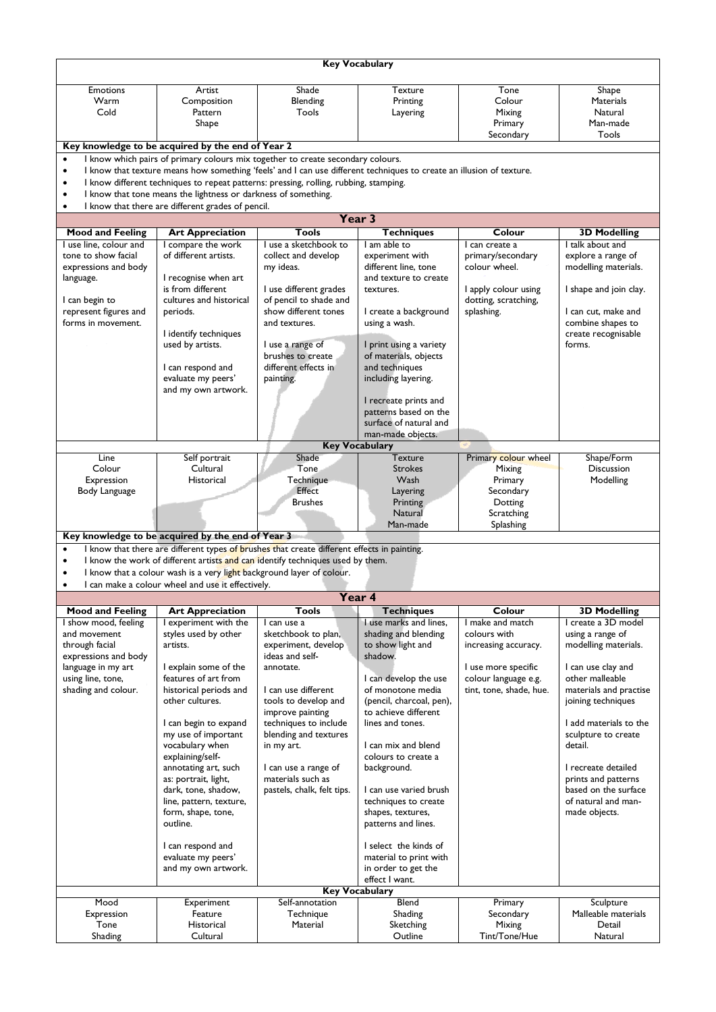| <b>Key Vocabulary</b>                                                                                                             |                                                                                                                            |                                            |                                           |                                      |                                            |  |  |  |
|-----------------------------------------------------------------------------------------------------------------------------------|----------------------------------------------------------------------------------------------------------------------------|--------------------------------------------|-------------------------------------------|--------------------------------------|--------------------------------------------|--|--|--|
| <b>Emotions</b>                                                                                                                   | Artist                                                                                                                     | Shade                                      | Texture                                   | Tone                                 | Shape                                      |  |  |  |
| Warm                                                                                                                              | Composition                                                                                                                | Blending                                   | Printing                                  | Colour                               | <b>Materials</b>                           |  |  |  |
| Cold                                                                                                                              | Pattern                                                                                                                    | Tools                                      | Layering                                  | Mixing                               | Natural<br>Man-made                        |  |  |  |
|                                                                                                                                   | Shape                                                                                                                      |                                            |                                           | Primary<br>Secondary                 | Tools                                      |  |  |  |
|                                                                                                                                   | Key knowledge to be acquired by the end of Year 2                                                                          |                                            |                                           |                                      |                                            |  |  |  |
| I know which pairs of primary colours mix together to create secondary colours.<br>$\bullet$                                      |                                                                                                                            |                                            |                                           |                                      |                                            |  |  |  |
| I know that texture means how something 'feels' and I can use different techniques to create an illusion of texture.<br>$\bullet$ |                                                                                                                            |                                            |                                           |                                      |                                            |  |  |  |
| $\bullet$                                                                                                                         | I know different techniques to repeat patterns: pressing, rolling, rubbing, stamping.                                      |                                            |                                           |                                      |                                            |  |  |  |
| $\bullet$                                                                                                                         | I know that tone means the lightness or darkness of something.                                                             |                                            |                                           |                                      |                                            |  |  |  |
| $\bullet$                                                                                                                         | I know that there are different grades of pencil.                                                                          |                                            |                                           |                                      |                                            |  |  |  |
|                                                                                                                                   |                                                                                                                            |                                            | Year 3                                    |                                      |                                            |  |  |  |
| <b>Mood and Feeling</b>                                                                                                           | <b>Art Appreciation</b>                                                                                                    | Tools                                      | <b>Techniques</b>                         | Colour                               | <b>3D Modelling</b>                        |  |  |  |
| I use line, colour and                                                                                                            | I compare the work                                                                                                         | I use a sketchbook to                      | I am able to                              | I can create a                       | I talk about and                           |  |  |  |
| tone to show facial<br>expressions and body                                                                                       | of different artists.                                                                                                      | collect and develop                        | experiment with<br>different line, tone   | primary/secondary<br>colour wheel.   | explore a range of<br>modelling materials. |  |  |  |
| language.                                                                                                                         | I recognise when art                                                                                                       | my ideas.                                  | and texture to create                     |                                      |                                            |  |  |  |
|                                                                                                                                   | is from different                                                                                                          | I use different grades                     | textures.                                 | I apply colour using                 | I shape and join clay.                     |  |  |  |
| I can begin to                                                                                                                    | cultures and historical                                                                                                    | of pencil to shade and                     |                                           | dotting, scratching,                 |                                            |  |  |  |
| represent figures and                                                                                                             | periods.                                                                                                                   | show different tones                       | I create a background                     | splashing.                           | I can cut, make and                        |  |  |  |
| forms in movement.                                                                                                                |                                                                                                                            | and textures.                              | using a wash.                             |                                      | combine shapes to                          |  |  |  |
|                                                                                                                                   | I identify techniques                                                                                                      |                                            |                                           |                                      | create recognisable                        |  |  |  |
|                                                                                                                                   | used by artists.                                                                                                           | I use a range of                           | I print using a variety                   |                                      | forms.                                     |  |  |  |
|                                                                                                                                   |                                                                                                                            | brushes to create<br>different effects in  | of materials, objects                     |                                      |                                            |  |  |  |
|                                                                                                                                   | I can respond and<br>evaluate my peers'                                                                                    | painting.                                  | and techniques<br>including layering.     |                                      |                                            |  |  |  |
|                                                                                                                                   | and my own artwork.                                                                                                        |                                            |                                           |                                      |                                            |  |  |  |
|                                                                                                                                   |                                                                                                                            |                                            | I recreate prints and                     |                                      |                                            |  |  |  |
|                                                                                                                                   |                                                                                                                            |                                            | patterns based on the                     |                                      |                                            |  |  |  |
|                                                                                                                                   |                                                                                                                            |                                            | surface of natural and                    |                                      |                                            |  |  |  |
|                                                                                                                                   |                                                                                                                            |                                            | man-made objects.                         |                                      |                                            |  |  |  |
|                                                                                                                                   |                                                                                                                            |                                            | <b>Key Vocabulary</b>                     |                                      |                                            |  |  |  |
| Line                                                                                                                              | Self portrait                                                                                                              | Shade<br><b>Tone</b>                       | Texture                                   | Primary colour wheel                 | Shape/Form                                 |  |  |  |
| Colour<br>Expression                                                                                                              | Cultural<br>Historical                                                                                                     | Technique                                  | <b>Strokes</b><br>Wash                    | <b>Mixing</b><br>Primary             | Discussion<br>Modelling                    |  |  |  |
| Body Language                                                                                                                     |                                                                                                                            | Effect                                     | Layering                                  | Secondary                            |                                            |  |  |  |
|                                                                                                                                   |                                                                                                                            | <b>Brushes</b>                             | Printing                                  | Dotting                              |                                            |  |  |  |
|                                                                                                                                   |                                                                                                                            |                                            | Natural                                   | Scratching                           |                                            |  |  |  |
|                                                                                                                                   |                                                                                                                            |                                            | Man-made                                  | Splashing                            |                                            |  |  |  |
|                                                                                                                                   | Key knowledge to be acquired by the end of Year 3                                                                          |                                            |                                           |                                      |                                            |  |  |  |
| $\bullet$                                                                                                                         | I know that there are different types of brushes that create different effects in painting.                                |                                            |                                           |                                      |                                            |  |  |  |
| $\bullet$                                                                                                                         | I know the work of different artists and can identify techniques used by them.                                             |                                            |                                           |                                      |                                            |  |  |  |
| ٠<br>$\bullet$                                                                                                                    | I know that a colour wash is a very light background layer of colour.<br>I can make a colour wheel and use it effectively. |                                            |                                           |                                      |                                            |  |  |  |
|                                                                                                                                   |                                                                                                                            |                                            |                                           |                                      |                                            |  |  |  |
| <b>Mood and Feeling</b>                                                                                                           | <b>Art Appreciation</b>                                                                                                    | Year 4                                     |                                           |                                      |                                            |  |  |  |
| I show mood, feeling                                                                                                              |                                                                                                                            |                                            |                                           |                                      |                                            |  |  |  |
| and movement                                                                                                                      |                                                                                                                            | <b>Tools</b>                               | <b>Techniques</b>                         | Colour                               | <b>3D Modelling</b>                        |  |  |  |
|                                                                                                                                   | I experiment with the                                                                                                      | I can use a                                | I use marks and lines,                    | I make and match                     | I create a 3D model                        |  |  |  |
| through facial                                                                                                                    | styles used by other<br>artists.                                                                                           | sketchbook to plan,<br>experiment, develop | shading and blending<br>to show light and | colours with<br>increasing accuracy. | using a range of<br>modelling materials.   |  |  |  |
| expressions and body                                                                                                              |                                                                                                                            | ideas and self-                            | shadow.                                   |                                      |                                            |  |  |  |
| language in my art                                                                                                                | I explain some of the                                                                                                      | annotate.                                  |                                           | I use more specific                  | I can use clay and                         |  |  |  |
| using line, tone,                                                                                                                 | features of art from                                                                                                       |                                            | I can develop the use                     | colour language e.g.                 | other malleable                            |  |  |  |
| shading and colour.                                                                                                               | historical periods and                                                                                                     | I can use different                        | of monotone media                         | tint, tone, shade, hue.              | materials and practise                     |  |  |  |
|                                                                                                                                   | other cultures.                                                                                                            | tools to develop and                       | (pencil, charcoal, pen),                  |                                      | joining techniques                         |  |  |  |
|                                                                                                                                   |                                                                                                                            | improve painting                           | to achieve different<br>lines and tones.  |                                      | I add materials to the                     |  |  |  |
|                                                                                                                                   | I can begin to expand                                                                                                      | techniques to include                      |                                           |                                      | sculpture to create                        |  |  |  |
|                                                                                                                                   | my use of important<br>vocabulary when                                                                                     | blending and textures<br>in my art.        | I can mix and blend                       |                                      | detail.                                    |  |  |  |
|                                                                                                                                   | explaining/self-                                                                                                           |                                            | colours to create a                       |                                      |                                            |  |  |  |
|                                                                                                                                   | annotating art, such                                                                                                       | I can use a range of                       | background.                               |                                      | I recreate detailed                        |  |  |  |
|                                                                                                                                   | as: portrait, light,                                                                                                       | materials such as                          |                                           |                                      | prints and patterns                        |  |  |  |
|                                                                                                                                   | dark, tone, shadow,                                                                                                        | pastels, chalk, felt tips.                 | I can use varied brush                    |                                      | based on the surface                       |  |  |  |
|                                                                                                                                   | line, pattern, texture,                                                                                                    |                                            | techniques to create                      |                                      | of natural and man-                        |  |  |  |
|                                                                                                                                   | form, shape, tone,<br>outline.                                                                                             |                                            | shapes, textures,                         |                                      | made objects.                              |  |  |  |
|                                                                                                                                   |                                                                                                                            |                                            | patterns and lines.                       |                                      |                                            |  |  |  |
|                                                                                                                                   | I can respond and                                                                                                          |                                            | I select the kinds of                     |                                      |                                            |  |  |  |
|                                                                                                                                   | evaluate my peers'                                                                                                         |                                            | material to print with                    |                                      |                                            |  |  |  |
|                                                                                                                                   | and my own artwork.                                                                                                        |                                            | in order to get the                       |                                      |                                            |  |  |  |
|                                                                                                                                   |                                                                                                                            |                                            | effect I want.                            |                                      |                                            |  |  |  |
|                                                                                                                                   |                                                                                                                            |                                            | <b>Key Vocabulary</b>                     |                                      |                                            |  |  |  |
| Mood                                                                                                                              | Experiment                                                                                                                 | Self-annotation                            | Blend                                     | Primary                              | Sculpture                                  |  |  |  |
| Expression<br>Tone                                                                                                                | Feature<br>Historical                                                                                                      | Technique<br>Material                      | Shading<br>Sketching                      | Secondary<br>Mixing                  | Malleable materials<br>Detail              |  |  |  |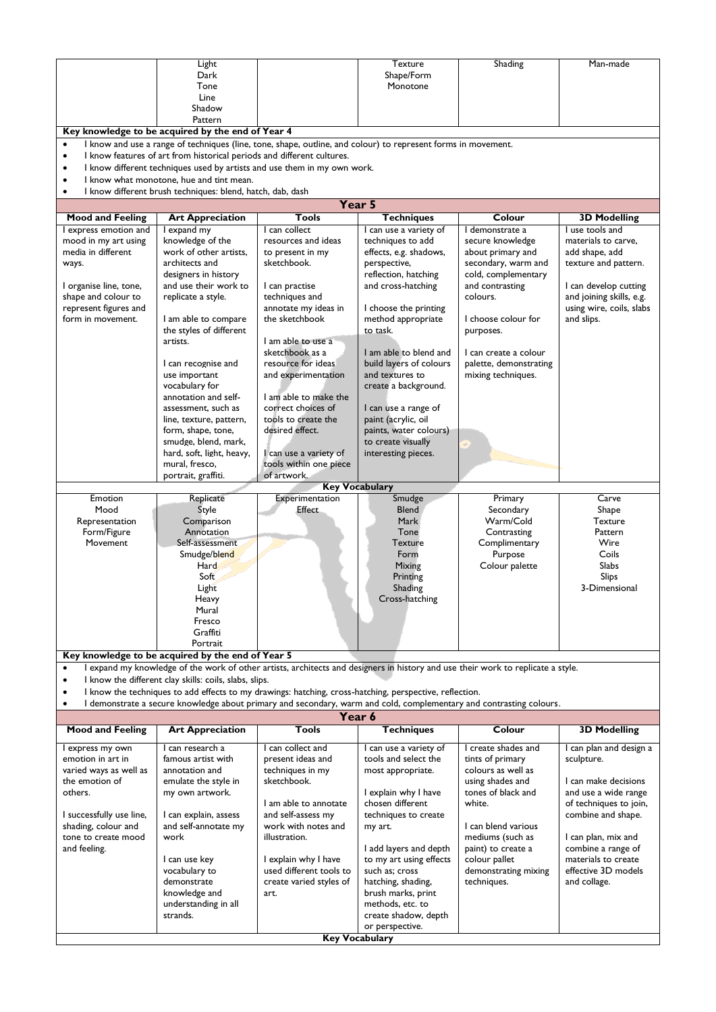|                                                                                                                                                                              | Light                                                                                                                            |                                       | Texture                                   | Shading                                  | Man-made                                  |  |
|------------------------------------------------------------------------------------------------------------------------------------------------------------------------------|----------------------------------------------------------------------------------------------------------------------------------|---------------------------------------|-------------------------------------------|------------------------------------------|-------------------------------------------|--|
|                                                                                                                                                                              | Dark<br>Tone                                                                                                                     |                                       | Shape/Form<br>Monotone                    |                                          |                                           |  |
|                                                                                                                                                                              | Line                                                                                                                             |                                       |                                           |                                          |                                           |  |
|                                                                                                                                                                              | Shadow                                                                                                                           |                                       |                                           |                                          |                                           |  |
|                                                                                                                                                                              | Pattern                                                                                                                          |                                       |                                           |                                          |                                           |  |
| Key knowledge to be acquired by the end of Year 4                                                                                                                            |                                                                                                                                  |                                       |                                           |                                          |                                           |  |
| I know and use a range of techniques (line, tone, shape, outline, and colour) to represent forms in movement.<br>$\bullet$                                                   |                                                                                                                                  |                                       |                                           |                                          |                                           |  |
| I know features of art from historical periods and different cultures.<br>$\bullet$<br>I know different techniques used by artists and use them in my own work.<br>$\bullet$ |                                                                                                                                  |                                       |                                           |                                          |                                           |  |
| I know what monotone, hue and tint mean.                                                                                                                                     |                                                                                                                                  |                                       |                                           |                                          |                                           |  |
| $\bullet$                                                                                                                                                                    | I know different brush techniques: blend, hatch, dab, dash                                                                       |                                       |                                           |                                          |                                           |  |
|                                                                                                                                                                              |                                                                                                                                  | Year 5                                |                                           |                                          |                                           |  |
| <b>Mood and Feeling</b>                                                                                                                                                      | <b>Art Appreciation</b>                                                                                                          | Tools                                 | <b>Techniques</b>                         | Colour                                   | <b>3D Modelling</b>                       |  |
| I express emotion and                                                                                                                                                        | I expand my                                                                                                                      | I can collect                         | I can use a variety of                    | I demonstrate a                          | I use tools and                           |  |
| mood in my art using                                                                                                                                                         | knowledge of the                                                                                                                 | resources and ideas                   | techniques to add                         | secure knowledge                         | materials to carve,                       |  |
| media in different<br>ways.                                                                                                                                                  | work of other artists,<br>architects and                                                                                         | to present in my<br>sketchbook.       | effects, e.g. shadows,<br>perspective,    | about primary and<br>secondary, warm and | add shape, add<br>texture and pattern.    |  |
|                                                                                                                                                                              | designers in history                                                                                                             |                                       | reflection, hatching                      | cold, complementary                      |                                           |  |
| I organise line, tone,                                                                                                                                                       | and use their work to                                                                                                            | I can practise                        | and cross-hatching                        | and contrasting                          | I can develop cutting                     |  |
| shape and colour to                                                                                                                                                          | replicate a style.                                                                                                               | techniques and                        |                                           | colours.                                 | and joining skills, e.g.                  |  |
| represent figures and                                                                                                                                                        |                                                                                                                                  | annotate my ideas in                  | I choose the printing                     |                                          | using wire, coils, slabs                  |  |
| form in movement.                                                                                                                                                            | I am able to compare                                                                                                             | the sketchbook                        | method appropriate<br>to task.            | I choose colour for                      | and slips.                                |  |
|                                                                                                                                                                              | the styles of different<br>artists.                                                                                              | I am able to use a                    |                                           | purposes.                                |                                           |  |
|                                                                                                                                                                              |                                                                                                                                  | sketchbook as a                       | I am able to blend and                    | I can create a colour                    |                                           |  |
|                                                                                                                                                                              | I can recognise and                                                                                                              | resource for ideas                    | build layers of colours                   | palette, demonstrating                   |                                           |  |
|                                                                                                                                                                              | use important                                                                                                                    | and experimentation                   | and textures to                           | mixing techniques.                       |                                           |  |
|                                                                                                                                                                              | vocabulary for<br>annotation and self-                                                                                           | I am able to make the                 | create a background.                      |                                          |                                           |  |
|                                                                                                                                                                              | assessment, such as                                                                                                              | correct choices of                    | I can use a range of                      |                                          |                                           |  |
|                                                                                                                                                                              | line, texture, pattern,                                                                                                          | tools to create the                   | paint (acrylic, oil                       |                                          |                                           |  |
|                                                                                                                                                                              | form, shape, tone,                                                                                                               | desired effect.                       | paints, water colours)                    |                                          |                                           |  |
|                                                                                                                                                                              | smudge, blend, mark,                                                                                                             |                                       | to create visually                        |                                          |                                           |  |
|                                                                                                                                                                              | hard, soft, light, heavy,                                                                                                        | I can use a variety of                | interesting pieces.                       |                                          |                                           |  |
|                                                                                                                                                                              | mural, fresco,<br>portrait, graffiti.                                                                                            | tools within one piece<br>of artwork. |                                           |                                          |                                           |  |
|                                                                                                                                                                              |                                                                                                                                  | <b>Key Vocabulary</b>                 |                                           |                                          |                                           |  |
| Emotion                                                                                                                                                                      | Replicate                                                                                                                        | Experimentation                       | Smudge                                    | Primary                                  | Carve                                     |  |
| Mood                                                                                                                                                                         | Style                                                                                                                            | Effect                                | Blend                                     | Secondary                                | Shape                                     |  |
| Representation                                                                                                                                                               | Comparison                                                                                                                       |                                       | Mark                                      | Warm/Cold                                | <b>Texture</b>                            |  |
| Form/Figure                                                                                                                                                                  | Annotation<br>Self-assessment                                                                                                    |                                       | Tone<br>Texture                           | Contrasting<br>Complimentary             | Pattern<br>Wire                           |  |
|                                                                                                                                                                              |                                                                                                                                  |                                       |                                           |                                          | Coils                                     |  |
| Movement                                                                                                                                                                     |                                                                                                                                  |                                       |                                           |                                          |                                           |  |
|                                                                                                                                                                              | Smudge/blend<br>Hard                                                                                                             |                                       | Form<br>Mixing                            | Purpose<br>Colour palette                | Slabs                                     |  |
|                                                                                                                                                                              | Soft                                                                                                                             |                                       | Printing                                  |                                          | <b>Slips</b>                              |  |
|                                                                                                                                                                              | Light                                                                                                                            |                                       | Shading                                   |                                          | 3-Dimensional                             |  |
|                                                                                                                                                                              | Heavy                                                                                                                            |                                       | Cross-hatching                            |                                          |                                           |  |
|                                                                                                                                                                              | Mural                                                                                                                            |                                       |                                           |                                          |                                           |  |
|                                                                                                                                                                              | Fresco<br>Graffiti                                                                                                               |                                       |                                           |                                          |                                           |  |
|                                                                                                                                                                              | Portrait                                                                                                                         |                                       |                                           |                                          |                                           |  |
|                                                                                                                                                                              | Key knowledge to be acquired by the end of Year 5                                                                                |                                       |                                           |                                          |                                           |  |
|                                                                                                                                                                              | I expand my knowledge of the work of other artists, architects and designers in history and use their work to replicate a style. |                                       |                                           |                                          |                                           |  |
| $\bullet$                                                                                                                                                                    | I know the different clay skills: coils, slabs, slips.                                                                           |                                       |                                           |                                          |                                           |  |
|                                                                                                                                                                              | I know the techniques to add effects to my drawings: hatching, cross-hatching, perspective, reflection.                          |                                       |                                           |                                          |                                           |  |
|                                                                                                                                                                              | I demonstrate a secure knowledge about primary and secondary, warm and cold, complementary and contrasting colours.              |                                       |                                           |                                          |                                           |  |
| <b>Mood and Feeling</b>                                                                                                                                                      | <b>Art Appreciation</b>                                                                                                          | Year 6<br>Tools                       | <b>Techniques</b>                         | Colour                                   |                                           |  |
|                                                                                                                                                                              |                                                                                                                                  |                                       |                                           |                                          | <b>3D Modelling</b>                       |  |
| I express my own                                                                                                                                                             | I can research a                                                                                                                 | I can collect and                     | I can use a variety of                    | I create shades and                      | I can plan and design a                   |  |
| emotion in art in<br>varied ways as well as                                                                                                                                  | famous artist with<br>annotation and                                                                                             | present ideas and<br>techniques in my | tools and select the<br>most appropriate. | tints of primary<br>colours as well as   | sculpture.                                |  |
| the emotion of                                                                                                                                                               | emulate the style in                                                                                                             | sketchbook.                           |                                           | using shades and                         | I can make decisions                      |  |
| others.                                                                                                                                                                      | my own artwork.                                                                                                                  |                                       | I explain why I have                      | tones of black and                       | and use a wide range                      |  |
|                                                                                                                                                                              |                                                                                                                                  | I am able to annotate                 | chosen different                          | white.                                   | of techniques to join,                    |  |
| I successfully use line,                                                                                                                                                     | I can explain, assess                                                                                                            | and self-assess my                    | techniques to create                      |                                          | combine and shape.                        |  |
| shading, colour and<br>tone to create mood                                                                                                                                   | and self-annotate my<br>work                                                                                                     | work with notes and<br>illustration.  | my art.                                   | I can blend various<br>mediums (such as  |                                           |  |
| and feeling.                                                                                                                                                                 |                                                                                                                                  |                                       | I add layers and depth                    | paint) to create a                       | l can plan, mix and<br>combine a range of |  |
|                                                                                                                                                                              | I can use key                                                                                                                    | I explain why I have                  | to my art using effects                   | colour pallet                            | materials to create                       |  |
|                                                                                                                                                                              | vocabulary to                                                                                                                    | used different tools to               | such as; cross                            | demonstrating mixing                     | effective 3D models                       |  |
|                                                                                                                                                                              | demonstrate                                                                                                                      | create varied styles of               | hatching, shading,                        | techniques.                              | and collage.                              |  |
|                                                                                                                                                                              | knowledge and                                                                                                                    | art.                                  | brush marks, print                        |                                          |                                           |  |
|                                                                                                                                                                              | understanding in all<br>strands.                                                                                                 |                                       | methods, etc. to<br>create shadow, depth  |                                          |                                           |  |
|                                                                                                                                                                              |                                                                                                                                  |                                       | or perspective.                           |                                          |                                           |  |